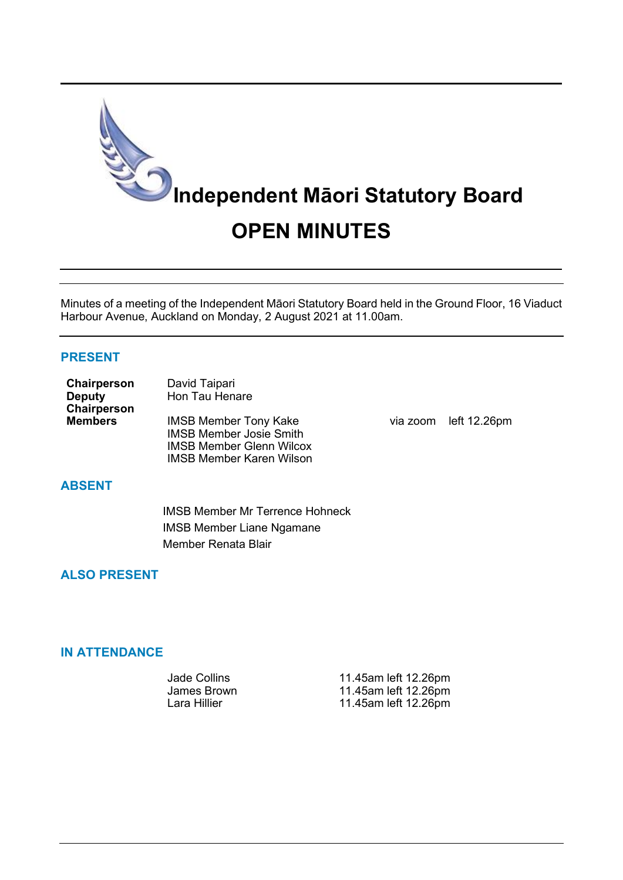

Minutes of a meeting of the Independent Māori Statutory Board held in the Ground Floor, 16 Viaduct Harbour Avenue, Auckland on Monday, 2 August 2021 at 11.00am.

## **PRESENT**

| Chairperson    | David Taipari                   |   |
|----------------|---------------------------------|---|
| <b>Deputy</b>  | Hon Tau Henare                  |   |
| Chairperson    |                                 |   |
| <b>Members</b> | <b>IMSB Member Tony Kake</b>    | ν |
|                | <b>IMSB Member Josie Smith</b>  |   |
|                | <b>IMSB Member Glenn Wilcox</b> |   |
|                | <b>IMSB Member Karen Wilson</b> |   |

 $\dot{M}$  Member 12.26pm

## **ABSENT**

IMSB Member Mr Terrence Hohneck IMSB Member Liane Ngamane Member Renata Blair

## **ALSO PRESENT**

## **IN ATTENDANCE**

| Jade Collins | 11.45am left 12.26pm |
|--------------|----------------------|
| James Brown  | 11.45am left 12.26pm |
| Lara Hillier | 11.45am left 12.26pm |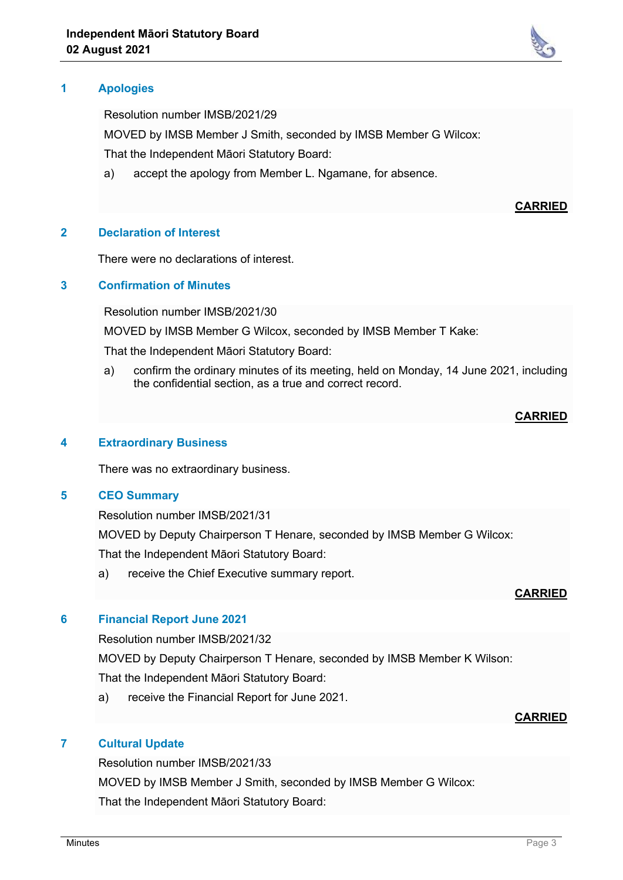## **1 Apologies**

Resolution number IMSB/2021/29

MOVED by IMSB Member J Smith, seconded by IMSB Member G Wilcox:

That the Independent Māori Statutory Board:

a) accept the apology from Member L. Ngamane, for absence.

#### **CARRIED**

### **2 Declaration of Interest**

There were no declarations of interest.

#### **3 Confirmation of Minutes**

Resolution number IMSB/2021/30

MOVED by IMSB Member G Wilcox, seconded by IMSB Member T Kake:

That the Independent Māori Statutory Board:

a) confirm the ordinary minutes of its meeting, held on Monday, 14 June 2021, including the confidential section, as a true and correct record.

#### **CARRIED**

## **4 Extraordinary Business**

There was no extraordinary business.

#### **5 CEO Summary**

Resolution number IMSB/2021/31 MOVED by Deputy Chairperson T Henare, seconded by IMSB Member G Wilcox: That the Independent Māori Statutory Board:

a) receive the Chief Executive summary report.

#### **CARRIED**

### **6 Financial Report June 2021**

Resolution number IMSB/2021/32

MOVED by Deputy Chairperson T Henare, seconded by IMSB Member K Wilson: That the Independent Māori Statutory Board:

a) receive the Financial Report for June 2021.

#### **CARRIED**

### **7 Cultural Update**

Resolution number IMSB/2021/33 MOVED by IMSB Member J Smith, seconded by IMSB Member G Wilcox: That the Independent Māori Statutory Board: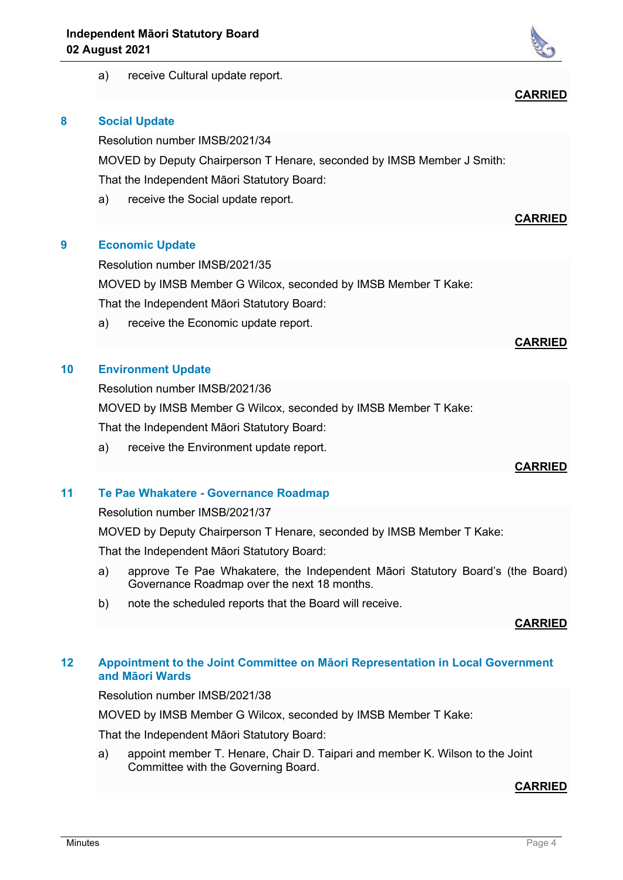## a) receive Cultural update report.

#### **8 Social Update**

Resolution number IMSB/2021/34

MOVED by Deputy Chairperson T Henare, seconded by IMSB Member J Smith:

That the Independent Māori Statutory Board:

a) receive the Social update report.

## **9 Economic Update**

Resolution number IMSB/2021/35

MOVED by IMSB Member G Wilcox, seconded by IMSB Member T Kake:

That the Independent Māori Statutory Board:

a) receive the Economic update report.

## **10 Environment Update**

Resolution number IMSB/2021/36

MOVED by IMSB Member G Wilcox, seconded by IMSB Member T Kake:

That the Independent Māori Statutory Board:

a) receive the Environment update report.

# **11 Te Pae Whakatere - Governance Roadmap**

Resolution number IMSB/2021/37

MOVED by Deputy Chairperson T Henare, seconded by IMSB Member T Kake:

That the Independent Māori Statutory Board:

- a) approve Te Pae Whakatere, the Independent Māori Statutory Board's (the Board) Governance Roadmap over the next 18 months.
- b) note the scheduled reports that the Board will receive.

# **CARRIED**

# **12 Appointment to the Joint Committee on Māori Representation in Local Government and Māori Wards**

Resolution number IMSB/2021/38

MOVED by IMSB Member G Wilcox, seconded by IMSB Member T Kake:

That the Independent Māori Statutory Board:

a) appoint member T. Henare, Chair D. Taipari and member K. Wilson to the Joint Committee with the Governing Board.

# **CARRIED**



## **CARRIED**

**CARRIED**

**CARRIED**

### **CARRIED**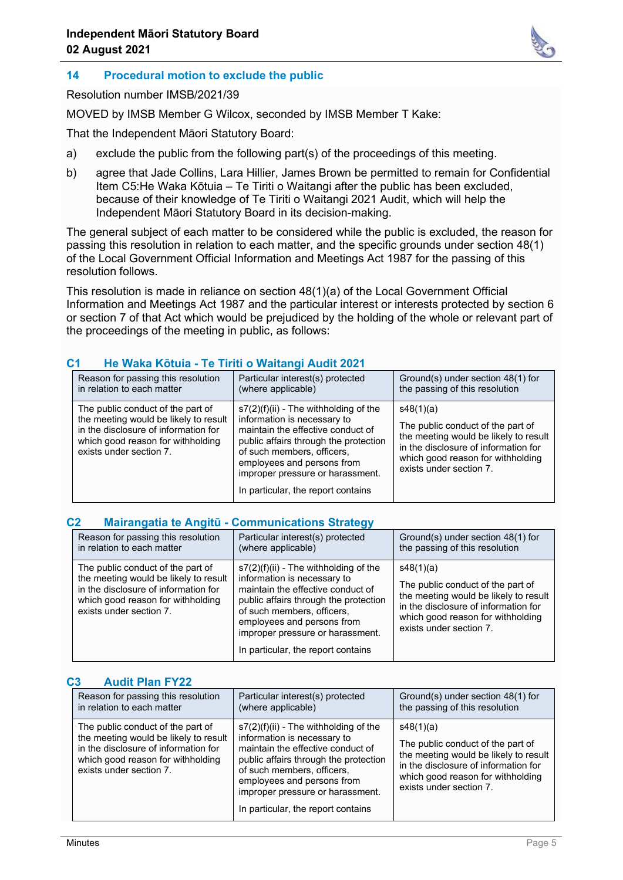

### **14 Procedural motion to exclude the public**

Resolution number IMSB/2021/39

MOVED by IMSB Member G Wilcox, seconded by IMSB Member T Kake:

That the Independent Māori Statutory Board:

- a) exclude the public from the following part(s) of the proceedings of this meeting.
- b) agree that Jade Collins, Lara Hillier, James Brown be permitted to remain for Confidential Item C5:He Waka Kōtuia – Te Tiriti o Waitangi after the public has been excluded, because of their knowledge of Te Tiriti o Waitangi 2021 Audit, which will help the Independent Māori Statutory Board in its decision-making.

The general subject of each matter to be considered while the public is excluded, the reason for passing this resolution in relation to each matter, and the specific grounds under section 48(1) of the Local Government Official Information and Meetings Act 1987 for the passing of this resolution follows.

This resolution is made in reliance on section 48(1)(a) of the Local Government Official Information and Meetings Act 1987 and the particular interest or interests protected by section 6 or section 7 of that Act which would be prejudiced by the holding of the whole or relevant part of the proceedings of the meeting in public, as follows:

| <b>THE TRAIN INSTALLED TO THEIR STRAINING AGAIN LOL</b> T                                                                                                                          |                                                                                                                                                                                                                                                                                            |                                                                                                                                                                                                 |  |
|------------------------------------------------------------------------------------------------------------------------------------------------------------------------------------|--------------------------------------------------------------------------------------------------------------------------------------------------------------------------------------------------------------------------------------------------------------------------------------------|-------------------------------------------------------------------------------------------------------------------------------------------------------------------------------------------------|--|
| Reason for passing this resolution<br>in relation to each matter                                                                                                                   | Particular interest(s) protected<br>(where applicable)                                                                                                                                                                                                                                     | Ground(s) under section 48(1) for<br>the passing of this resolution                                                                                                                             |  |
| The public conduct of the part of<br>the meeting would be likely to result<br>in the disclosure of information for<br>which good reason for withholding<br>exists under section 7. | $s7(2)(f)(ii)$ - The withholding of the<br>information is necessary to<br>maintain the effective conduct of<br>public affairs through the protection<br>of such members, officers.<br>employees and persons from<br>improper pressure or harassment.<br>In particular, the report contains | s48(1)(a)<br>The public conduct of the part of<br>the meeting would be likely to result<br>in the disclosure of information for<br>which good reason for withholding<br>exists under section 7. |  |

### **C1 He Waka Kōtuia - Te Tiriti o Waitangi Audit 2021**

#### **C2 Mairangatia te Angitū - Communications Strategy**

| Reason for passing this resolution                                                                                                                                                 | Particular interest(s) protected                                                                                                                                                                                                                                                           | Ground(s) under section 48(1) for                                                                                                                                                               |
|------------------------------------------------------------------------------------------------------------------------------------------------------------------------------------|--------------------------------------------------------------------------------------------------------------------------------------------------------------------------------------------------------------------------------------------------------------------------------------------|-------------------------------------------------------------------------------------------------------------------------------------------------------------------------------------------------|
| in relation to each matter                                                                                                                                                         | (where applicable)                                                                                                                                                                                                                                                                         | the passing of this resolution                                                                                                                                                                  |
| The public conduct of the part of<br>the meeting would be likely to result<br>in the disclosure of information for<br>which good reason for withholding<br>exists under section 7. | $s7(2)(f)(ii)$ - The withholding of the<br>information is necessary to<br>maintain the effective conduct of<br>public affairs through the protection<br>of such members, officers,<br>employees and persons from<br>improper pressure or harassment.<br>In particular, the report contains | s48(1)(a)<br>The public conduct of the part of<br>the meeting would be likely to result<br>in the disclosure of information for<br>which good reason for withholding<br>exists under section 7. |

#### **C3 Audit Plan FY22**

| Reason for passing this resolution                                                                                                                                                 | Particular interest(s) protected                                                                                                                                                                                                                                                           | Ground(s) under section 48(1) for                                                                                                                                                               |
|------------------------------------------------------------------------------------------------------------------------------------------------------------------------------------|--------------------------------------------------------------------------------------------------------------------------------------------------------------------------------------------------------------------------------------------------------------------------------------------|-------------------------------------------------------------------------------------------------------------------------------------------------------------------------------------------------|
| in relation to each matter                                                                                                                                                         | (where applicable)                                                                                                                                                                                                                                                                         | the passing of this resolution                                                                                                                                                                  |
| The public conduct of the part of<br>the meeting would be likely to result<br>in the disclosure of information for<br>which good reason for withholding<br>exists under section 7. | $s7(2)(f)(ii)$ - The withholding of the<br>information is necessary to<br>maintain the effective conduct of<br>public affairs through the protection<br>of such members, officers,<br>employees and persons from<br>improper pressure or harassment.<br>In particular, the report contains | s48(1)(a)<br>The public conduct of the part of<br>the meeting would be likely to result<br>in the disclosure of information for<br>which good reason for withholding<br>exists under section 7. |